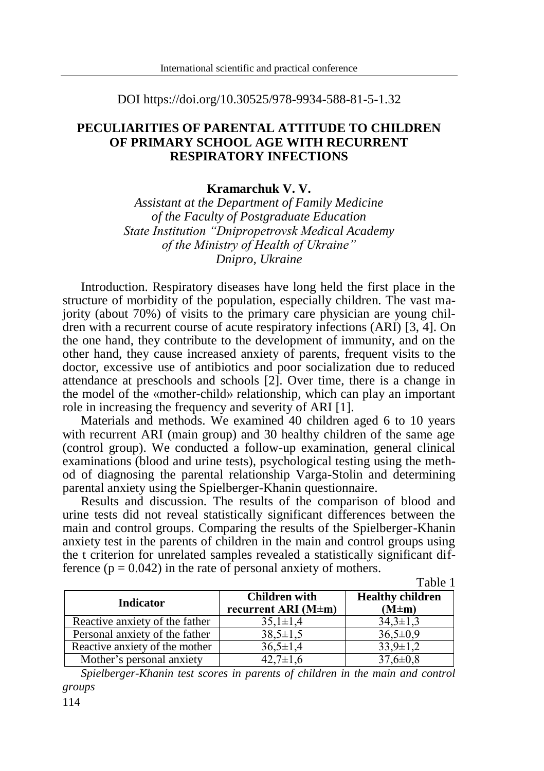#### DOI https://doi.org/10.30525/978-9934-588-81-5-1.32

# **PECULIARITIES OF PARENTAL ATTITUDE TO CHILDREN OF PRIMARY SCHOOL AGE WITH RECURRENT RESPIRATORY INFECTIONS**

### **Kramarchuk V. V.**

*Assistant at the Department of Family Medicine of the Faculty of Postgraduate Education State Institution "Dnipropetrovsk Medical Academy of the Ministry of Health of Ukraine" Dnipro, Ukraine*

Introduction. Respiratory diseases have long held the first place in the structure of morbidity of the population, especially children. The vast majority (about 70%) of visits to the primary care physician are young children with a recurrent course of acute respiratory infections (ARI) [3, 4]. On the one hand, they contribute to the development of immunity, and on the other hand, they cause increased anxiety of parents, frequent visits to the doctor, excessive use of antibiotics and poor socialization due to reduced attendance at preschools and schools [2]. Over time, there is a change in the model of the «mother-child» relationship, which can play an important role in increasing the frequency and severity of ARI [1].

Materials and methods. We examined 40 children aged 6 to 10 years with recurrent ARI (main group) and 30 healthy children of the same age (control group). We conducted a follow-up examination, general clinical examinations (blood and urine tests), psychological testing using the method of diagnosing the parental relationship Varga-Stolin and determining parental anxiety using the Spielberger-Khanin questionnaire.

Results and discussion. The results of the comparison of blood and urine tests did not reveal statistically significant differences between the main and control groups. Comparing the results of the Spielberger-Khanin anxiety test in the parents of children in the main and control groups using the t criterion for unrelated samples revealed a statistically significant difference  $(p = 0.042)$  in the rate of personal anxiety of mothers.

Table 1

| <b>Indicator</b>               | <b>Children with</b><br>recurrent ARI $(M \pm m)$ | <b>Healthy children</b><br>$(M \pm m)$ |
|--------------------------------|---------------------------------------------------|----------------------------------------|
| Reactive anxiety of the father | $35,1 \pm 1,4$                                    | $34.3 \pm 1.3$                         |
| Personal anxiety of the father | $38,5 \pm 1,5$                                    | $36,5 \pm 0.9$                         |
| Reactive anxiety of the mother | $36.5 \pm 1.4$                                    | $33.9 \pm 1.2$                         |
| Mother's personal anxiety      | $42,7 \pm 1,6$                                    | $37,6 \pm 0.8$                         |

*Spielberger-Khanin test scores in parents of children in the main and control groups*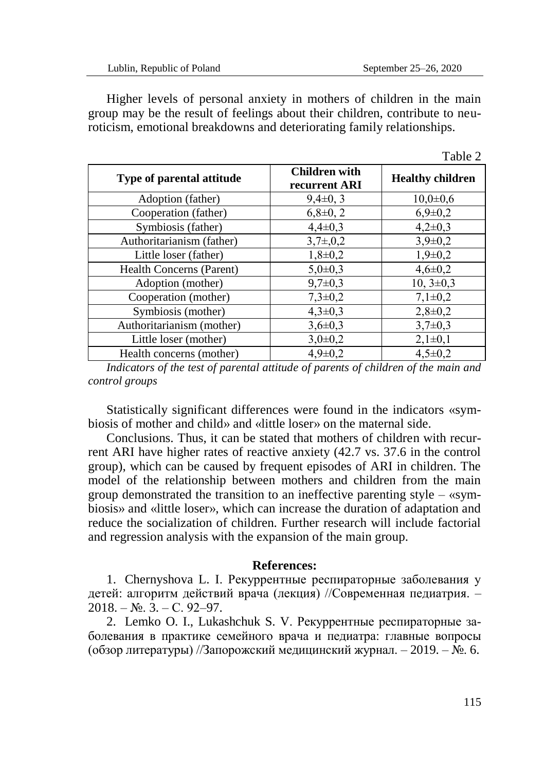Higher levels of personal anxiety in mothers of children in the main group may be the result of feelings about their children, contribute to neuroticism, emotional breakdowns and deteriorating family relationships.

|                           |                                       | 10010L                  |
|---------------------------|---------------------------------------|-------------------------|
| Type of parental attitude | <b>Children</b> with<br>recurrent ARI | <b>Healthy children</b> |
| Adoption (father)         | $9,4\pm0,3$                           | $10,0{\pm}0.6$          |
| Cooperation (father)      | $6,8\pm0,2$                           | $6,9 \pm 0.2$           |
| Symbiosis (father)        | $4,4\pm0.3$                           | $4,2\pm0,3$             |
| Authoritarianism (father) | $3,7\pm,0,2$                          | $3,9 \pm 0.2$           |
| Little loser (father)     | $1,8+0,2$                             | $1,9+0,2$               |
| Health Concerns (Parent)  | $5,0{\pm}0.3$                         | $4,6 \pm 0.2$           |
| Adoption (mother)         | $9,7 \pm 0.3$                         | $10, 3 \pm 0.3$         |
| Cooperation (mother)      | $7,3 \pm 0.2$                         | $7,1\pm0.2$             |
| Symbiosis (mother)        | $4,3\pm0.3$                           | $2,8 \pm 0.2$           |
| Authoritarianism (mother) | $3,6 \pm 0.3$                         | $3,7\pm0.3$             |
| Little loser (mother)     | $3,0\pm0,2$                           | $2,1\pm0,1$             |
| Health concerns (mother)  | $4,9 \pm 0,2$                         | $4.5 \pm 0.2$           |

*Indicators of the test of parental attitude of parents of children of the main and control groups*

Statistically significant differences were found in the indicators «symbiosis of mother and child» and «little loser» on the maternal side.

Conclusions. Thus, it can be stated that mothers of children with recurrent ARI have higher rates of reactive anxiety (42.7 vs. 37.6 in the control group), which can be caused by frequent episodes of ARI in children. The model of the relationship between mothers and children from the main group demonstrated the transition to an ineffective parenting style – «symbiosis» and «little loser», which can increase the duration of adaptation and reduce the socialization of children. Further research will include factorial and regression analysis with the expansion of the main group.

### **References:**

1. Chernyshova L. I. Рекуррентные респираторные заболевания у детей: алгоритм действий врача (лекция) //Современная педиатрия. –  $2018. - N_2$ . 3. – C. 92–97.

2. Lemko O. I., Lukashchuk S. V. Рекуррентные респираторные заболевания в практике семейного врача и педиатра: главные вопросы (обзор литературы) //Запорожский медицинский журнал. – 2019. – №. 6.

 $Table 2$